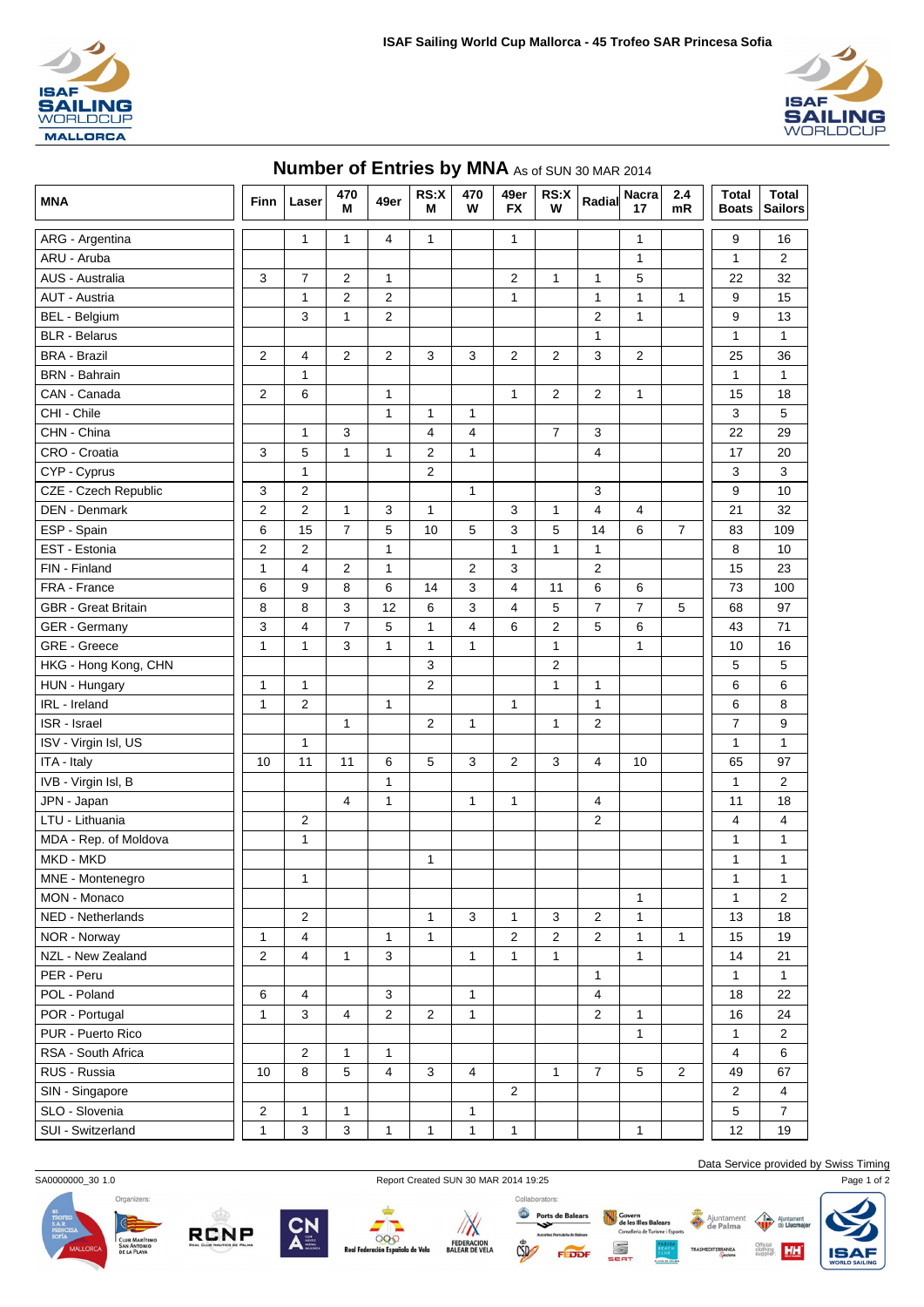



## **MNA Finn Laser <sup>470</sup> M 49er RS:X M 470 W 49er FX RS:X W Radial Nacra 17 2.4 mR Total Boats Total Sailors** ARG - Argentina 1 1 4 1 1 1 9 16 ARU - Aruba 1 1 2 AUS - Australia 3 7 2 1 2 1 1 5 22 32 AUT - Austria 1 2 2 1 1 1 1 9 15 BEL - Belgium | | | 3 | 1 | 2 | | | | | 2 | 1 | | 2 | 1 | | | 9 | 13 BLR - Belarus 1 1 1 BRA - Brazil 2 4 2 2 3 3 2 2 3 2 25 36 BRN - Bahrain 1 1 1 CAN - Canada 2 6 1 1 2 2 1 15 18 CHI - Chile 1 1 1 3 5 CHN - China | | | 1 | 3 | | 4 | 4 | | 7 | 3 | | | 22 | 29 CRO - Croatia | | 3 | 5 | 1 | 1 | 2 | 1 | | | 4 | | | 17 | 20 | CYP - Cyprus 1 2 3 3 CZE - Czech Republic 3 2 1 3 9 10 DEN - Denmark | | 2 | 2 | 1 | 3 | 1 | | | 3 | 1 | 4 | 4 | | | | 21 | 32 ESP - Spain || 6 | 15 | 7 | 5 | 10 | 5 | 3 | 5 | 14 | 6 | 7 || 83 | 109 | EST - Estonia 2 2 1 1 1 1 8 10 FIN - Finland | | 1 | 4 | 2 | 1 | | 2 | 3 | | 15 | 23 FRA - France | | 6 | 9 | 8 | 6 | 14 | 3 | 4 | 11 | 6 | 6 | || 73 | 100 | GBR - Great Britain 8 8 3 12 6 3 4 5 7 7 5 68 97 GER - Germany 3 4 7 5 1 4 6 2 5 6 4 4 5 71 GRE - Greece 1 1 3 1 1 1 1 1 10 16 HKG - Hong Kong, CHN 3 2 5 5 HUN - Hungary 1 1 2 1 1 6 6 IRL - Ireland 1 2 1 1 1 6 8 ISR - Israel 1 2 1 1 2 7 9 ISV - Virgin Isl, US 1 1 1 ITA - Italy | | 10 | 11 | 11 | 6 | 5 | 3 | 2 | 3 | 4 | 10 | | | 65 | 97 IVB - Virgin Isl, B 1 1 2 JPN - Japan | | | | | 4 | 1 | | 1 | 1 | 1 | 1 | 4 | | | | 11 | 18 LTU - Lithuania 2 2 4 4 MDA - Rep. of Moldova 1 1 1 MKD - MKD 1 1 1 MNE - Montenegro 1 1 1 MON - Monaco 1 1 2 NED - Netherlands | | | | 2 | | | | 1 | 3 | 1 | 3 | 2 | 1 | | | | 13 | 18 NOR - Norway || 1 | 4 | | 1 | 1 | | | | 2 | 2 | 2 | 1 | 1 || 15 | 19 NZL - New Zealand 2 4 1 3 1 1 1 1 14 21 PER - Peru 1 1 1 POL - Poland 6 4 3 1 4 18 22 POR - Portugal 1 3 4 2 2 1 1 2 1 1 2 1 1 2 4 PUR - Puerto Rico 1 1 2 RSA - South Africa 2 1 1 4 6 RUS - Russia 10 8 6 7 4 3 4 1 7 7 5 2 1 4 67 SIN - Singapore 2 2 2 2 2 2 2 2 2 2 2 2 2 2 2 2 4 SLO - Slovenia 2 1 1 1 5 7 SUI - Switzerland 1 3 3 1 1 1 1 1 12 19



SA0000000\_30 1.0 Report Created SUN 30 MAR 2014 19:25 Page 1 of 2











Data Service provided by Swiss Timing

HH

Ajunta

Ajuntamer

Consellería de Turisme i Esporti

S